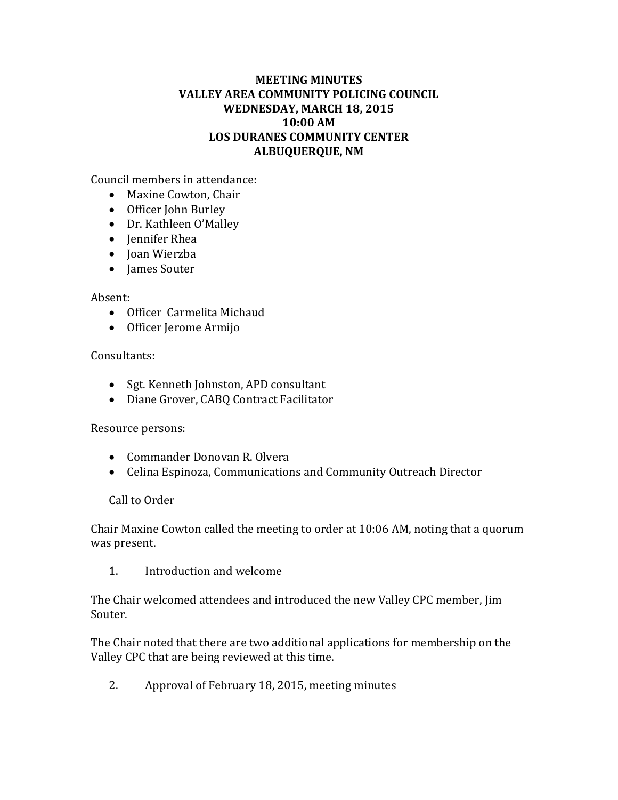# **MEETING MINUTES VALLEY AREA COMMUNITY POLICING COUNCIL WEDNESDAY, MARCH 18, 2015 10:00 AM LOS DURANES COMMUNITY CENTER ALBUQUERQUE, NM**

Council members in attendance:

- Maxine Cowton, Chair
- Officer John Burley
- Dr. Kathleen O'Malley
- Jennifer Rhea
- Joan Wierzba
- James Souter

# Absent:

- Officer Carmelita Michaud
- Officer Jerome Armijo

# Consultants:

- Sgt. Kenneth Johnston, APD consultant
- Diane Grover, CABQ Contract Facilitator

# Resource persons:

- Commander Donovan R. Olvera
- Celina Espinoza, Communications and Community Outreach Director

# Call to Order

Chair Maxine Cowton called the meeting to order at 10:06 AM, noting that a quorum was present.

1. Introduction and welcome

The Chair welcomed attendees and introduced the new Valley CPC member, Jim Souter.

The Chair noted that there are two additional applications for membership on the Valley CPC that are being reviewed at this time.

2. Approval of February 18, 2015, meeting minutes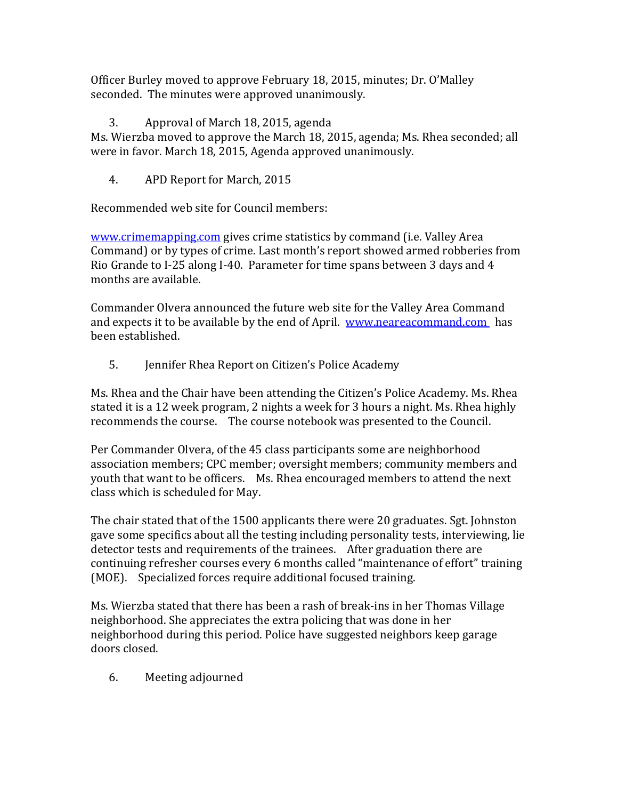Officer Burley moved to approve February 18, 2015, minutes; Dr. O'Malley seconded. The minutes were approved unanimously.

3. Approval of March 18, 2015, agenda

Ms. Wierzba moved to approve the March 18, 2015, agenda; Ms. Rhea seconded; all were in favor. March 18, 2015, Agenda approved unanimously.

4. APD Report for March, 2015

Recommended web site for Council members:

[www.crimemapping.com](http://www.crimemapping.com/) gives crime statistics by command (i.e. Valley Area Command) or by types of crime. Last month's report showed armed robberies from Rio Grande to I-25 along I-40. Parameter for time spans between 3 days and 4 months are available.

Commander Olvera announced the future web site for the Valley Area Command and expects it to be available by the end of April. [www.neareacommand.com](http://www.neareacommand.com/) has been established.

5. Jennifer Rhea Report on Citizen's Police Academy

Ms. Rhea and the Chair have been attending the Citizen's Police Academy. Ms. Rhea stated it is a 12 week program, 2 nights a week for 3 hours a night. Ms. Rhea highly recommends the course. The course notebook was presented to the Council.

Per Commander Olvera, of the 45 class participants some are neighborhood association members; CPC member; oversight members; community members and youth that want to be officers. Ms. Rhea encouraged members to attend the next class which is scheduled for May.

The chair stated that of the 1500 applicants there were 20 graduates. Sgt. Johnston gave some specifics about all the testing including personality tests, interviewing, lie detector tests and requirements of the trainees. After graduation there are continuing refresher courses every 6 months called "maintenance of effort" training (MOE). Specialized forces require additional focused training.

Ms. Wierzba stated that there has been a rash of break-ins in her Thomas Village neighborhood. She appreciates the extra policing that was done in her neighborhood during this period. Police have suggested neighbors keep garage doors closed.

6. Meeting adjourned